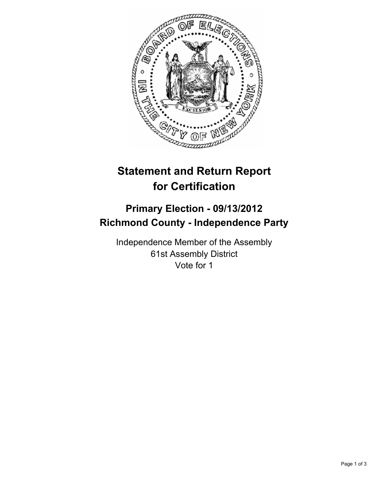

# **Statement and Return Report for Certification**

## **Primary Election - 09/13/2012 Richmond County - Independence Party**

Independence Member of the Assembly 61st Assembly District Vote for 1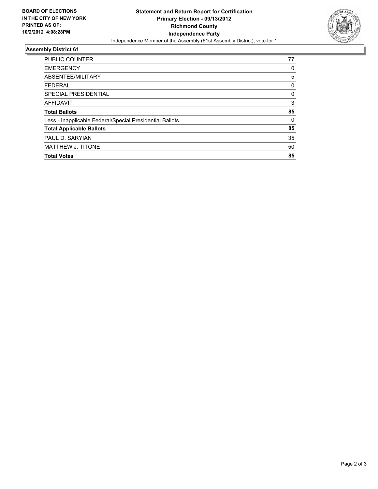

### **Assembly District 61**

| <b>PUBLIC COUNTER</b>                                    | 77       |
|----------------------------------------------------------|----------|
| <b>EMERGENCY</b>                                         | 0        |
| ABSENTEE/MILITARY                                        | 5        |
| <b>FEDERAL</b>                                           | 0        |
| SPECIAL PRESIDENTIAL                                     | 0        |
| <b>AFFIDAVIT</b>                                         | 3        |
| <b>Total Ballots</b>                                     | 85       |
| Less - Inapplicable Federal/Special Presidential Ballots | $\Omega$ |
| <b>Total Applicable Ballots</b>                          | 85       |
| PAUL D. SARYIAN                                          | 35       |
| <b>MATTHEW J. TITONE</b>                                 | 50       |
| <b>Total Votes</b>                                       | 85       |